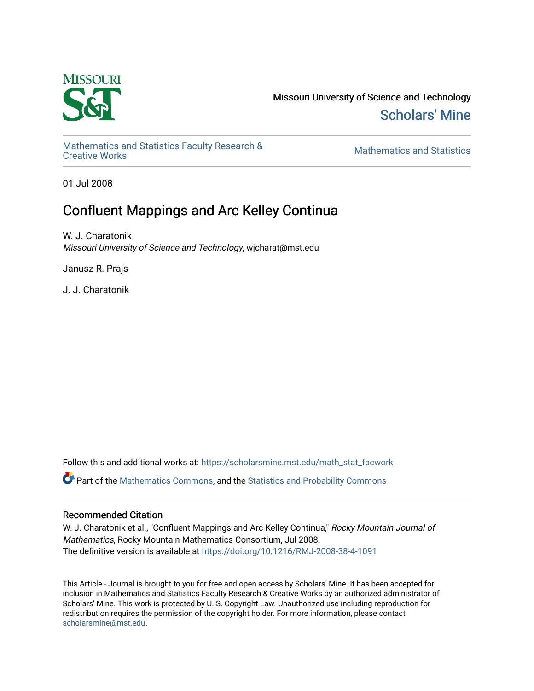

Missouri University of Science and Technology [Scholars' Mine](https://scholarsmine.mst.edu/) 

[Mathematics and Statistics Faculty Research &](https://scholarsmine.mst.edu/math_stat_facwork) 

**Mathematics and Statistics** 

01 Jul 2008

# Confluent Mappings and Arc Kelley Continua

W. J. Charatonik Missouri University of Science and Technology, wjcharat@mst.edu

Janusz R. Prajs

J. J. Charatonik

Follow this and additional works at: [https://scholarsmine.mst.edu/math\\_stat\\_facwork](https://scholarsmine.mst.edu/math_stat_facwork?utm_source=scholarsmine.mst.edu%2Fmath_stat_facwork%2F164&utm_medium=PDF&utm_campaign=PDFCoverPages)

Part of the [Mathematics Commons](http://network.bepress.com/hgg/discipline/174?utm_source=scholarsmine.mst.edu%2Fmath_stat_facwork%2F164&utm_medium=PDF&utm_campaign=PDFCoverPages), and the [Statistics and Probability Commons](http://network.bepress.com/hgg/discipline/208?utm_source=scholarsmine.mst.edu%2Fmath_stat_facwork%2F164&utm_medium=PDF&utm_campaign=PDFCoverPages)

# Recommended Citation

W. J. Charatonik et al., "Confluent Mappings and Arc Kelley Continua," Rocky Mountain Journal of Mathematics, Rocky Mountain Mathematics Consortium, Jul 2008. The definitive version is available at <https://doi.org/10.1216/RMJ-2008-38-4-1091>

This Article - Journal is brought to you for free and open access by Scholars' Mine. It has been accepted for inclusion in Mathematics and Statistics Faculty Research & Creative Works by an authorized administrator of Scholars' Mine. This work is protected by U. S. Copyright Law. Unauthorized use including reproduction for redistribution requires the permission of the copyright holder. For more information, please contact [scholarsmine@mst.edu.](mailto:scholarsmine@mst.edu)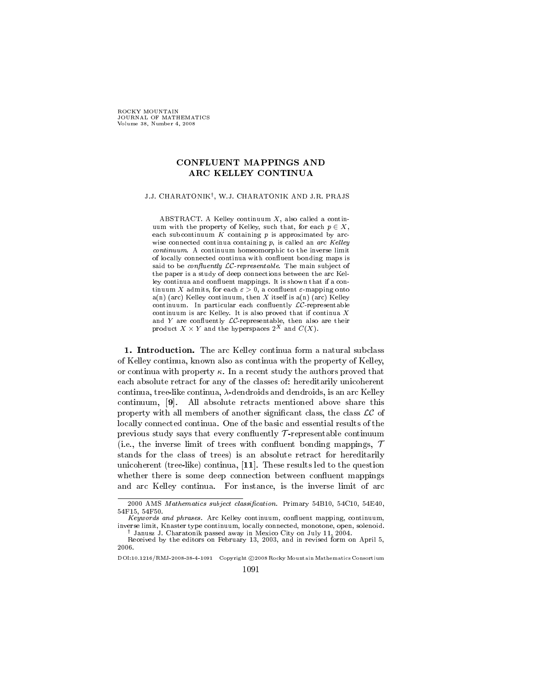ROCKY MOUNTAIN JOURNAL OF MATHEMATICS Volume 38, Number 4, 2008

# **CONFLUENT MAPPINGS AND** ARC KELLEY CONTINUA

# J.J. CHARATONIK<sup>†</sup>, W.J. CHARATONIK AND J.R. PRAJS

ABSTRACT. A Kelley continuum  $X$ , also called a continuum with the property of Kelley, such that, for each  $p \in X$ , each subcontinuum  $K$  containing  $p$  is approximated by arcwise connected continua containing  $p$ , is called an arc Kelley continuum. A continuum homeomorphic to the inverse limit of locally connected continua with confluent bonding maps is said to be *confluently*  $LC$ -representable. The main subject of the paper is a study of deep connections between the arc Kelley continua and confluent mappings. It is shown that if a continuum X admits, for each  $\varepsilon > 0$ , a confluent  $\varepsilon$ -mapping onto  $a(n)$  (arc) Kelley continuum, then X itself is  $a(n)$  (arc) Kelley continuum. In particular each confluently  $LC$ -representable continuum is arc Kelley. It is also proved that if continua  $X$ and Y are confluently  $LC$ -representable, then also are their product  $X \times Y$  and the hyperspaces  $2^X$  and  $C(X)$ .

1. Introduction. The arc Kelley continua form a natural subclass of Kelley continua, known also as continua with the property of Kelley, or continua with property  $\kappa$ . In a recent study the authors proved that each absolute retract for any of the classes of: hereditarily unicoherent continua, tree-like continua,  $\lambda$ -dendroids and dendroids, is an arc Kelley continuum, [9]. All absolute retracts mentioned above share this property with all members of another significant class, the class  $LC$  of locally connected continua. One of the basic and essential results of the previous study says that every confluently  $\mathcal T$ -representable continuum (i.e., the inverse limit of trees with confluent bonding mappings,  $\tau$ stands for the class of trees) is an absolute retract for hereditarily unicoherent (tree-like) continua, [11]. These results led to the question whether there is some deep connection between confluent mappings and arc Kelley continua. For instance, is the inverse limit of arc

<sup>2000</sup> AMS Mathematics subject classification. Primary 54B10, 54C10, 54E40, 54F15, 54F50.

Keywords and phrases. Arc Kelley continuum, confluent mapping, continuum, inverse limit, Knaster type continuum, locally connected, monotone, open, solenoid. <sup>†</sup> Janusz J. Charatonik passed away in Mexico City on July 11, 2004.

Received by the editors on February 13, 2003, and in revised form on April 5, 2006.

DOI:10.1216/RMJ-2008-38-4-1091 Copyright ©2008 Rocky Mountain Mathematics Consortium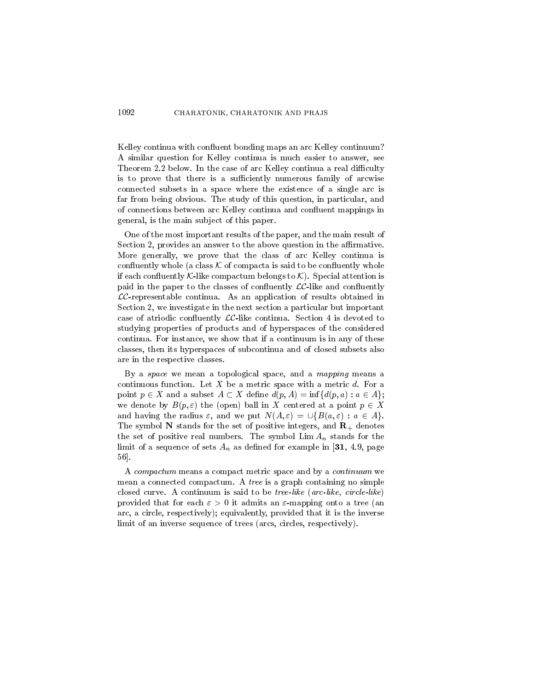Kelley continua with confluent bonding maps an arc Kelley continuum? A similar question for Kelley continua is much easier to answer, see Theorem 2.2 below. In the case of arc Kelley continua a real difficulty is to prove that there is a sufficiently numerous family of arcwise connected subsets in a space where the existence of a single arc is far from being obvious. The study of this question, in particular, and of connections between arc Kelley continua and confluent mappings in general, is the main subject of this paper.

One of the most important results of the paper, and the main result of Section 2, provides an answer to the above question in the affirmative. More generally, we prove that the class of arc Kelley continua is confluently whole (a class  $K$  of compacta is said to be confluently whole if each confluently K-like compactum belongs to  $K$ ). Special attention is paid in the paper to the classes of confluently  $LC$ -like and confluently  $LC$ -representable continua. As an application of results obtained in Section 2, we investigate in the next section a particular but important case of atriodic confluently  $LC$ -like continua. Section 4 is devoted to studying properties of products and of hyperspaces of the considered continua. For instance, we show that if a continuum is in any of these classes, then its hyperspaces of subcontinua and of closed subsets also are in the respective classes.

By a space we mean a topological space, and a mapping means a continuous function. Let  $X$  be a metric space with a metric  $d$ . For a point  $p \in X$  and a subset  $A \subset X$  define  $d(p, A) = \inf \{d(p, a) : a \in A\}$ ; we denote by  $B(p,\varepsilon)$  the (open) ball in X centered at a point  $p \in X$ and having the radius  $\varepsilon$ , and we put  $N(A, \varepsilon) = \bigcup \{B(a, \varepsilon) : a \in A\}.$ The symbol N stands for the set of positive integers, and  $\mathbf{R}_{+}$  denotes the set of positive real numbers. The symbol  $\lim A_n$  stands for the limit of a sequence of sets  $A_n$  as defined for example in [31, 4.9, page 56.

A compactum means a compact metric space and by a continuum we mean a connected compactum. A tree is a graph containing no simple closed curve. A continuum is said to be *tree-like* (*arc-like*, *circle-like*) provided that for each  $\varepsilon > 0$  it admits an  $\varepsilon$ -mapping onto a tree (an arc, a circle, respectively); equivalently, provided that it is the inverse limit of an inverse sequence of trees (arcs, circles, respectively).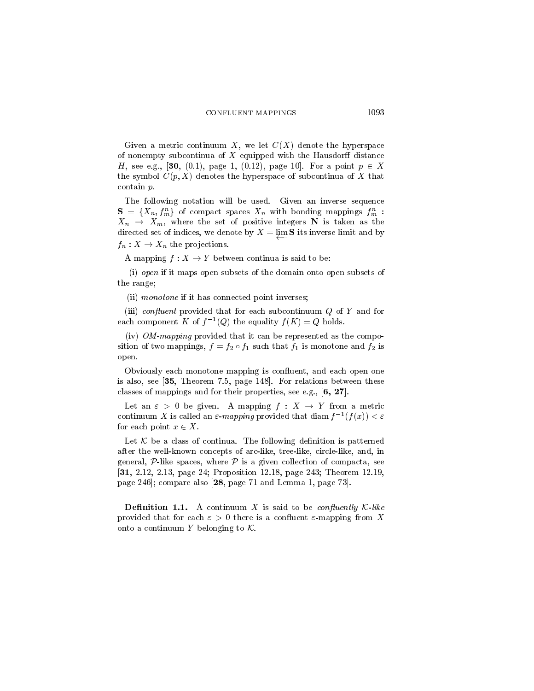Given a metric continuum X, we let  $C(X)$  denote the hyperspace of nonempty subcontinua of  $X$  equipped with the Hausdorff distance *H*, see e.g., [30, (0.1), page 1, (0.12), page 10]. For a point  $p \in X$ the symbol  $C(p, X)$  denotes the hyperspace of subcontinua of X that contain  $p$ .

The following notation will be used. Given an inverse sequence  ${\bf S} = \{X_n, f_m^n\}$  of compact spaces  $X_n$  with bonding mappings  $f_m^n$ :  $X_n \rightarrow X_m$ , where the set of positive integers N is taken as the directed set of indices, we denote by  $X = \lim S$  its inverse limit and by  $f_n: X \to X_n$  the projections.

A mapping  $f: X \to Y$  between continua is said to be:

(i) open if it maps open subsets of the domain onto open subsets of the range;

(ii) monotone if it has connected point inverses;

(iii) *confluent* provided that for each subcontinuum  $Q$  of  $Y$  and for each component K of  $f^{-1}(Q)$  the equality  $f(K) = Q$  holds.

(iv)  $OM$ -mapping provided that it can be represented as the composition of two mappings,  $f = f_2 \circ f_1$  such that  $f_1$  is monotone and  $f_2$  is open.

Obviously each monotone mapping is confluent, and each open one is also, see [35, Theorem 7.5, page 148]. For relations between these classes of mappings and for their properties, see e.g.,  $[6, 27]$ .

Let an  $\varepsilon > 0$  be given. A mapping  $f : X \to Y$  from a metric continuum X is called an  $\varepsilon$ -mapping provided that diam  $f^{-1}(f(x)) < \varepsilon$ for each point  $x \in X$ .

Let  $K$  be a class of continua. The following definition is patterned after the well-known concepts of arc-like, tree-like, circle-like, and, in general,  $P$ -like spaces, where  $P$  is a given collection of compacta, see [31, 2.12, 2.13, page 24; Proposition 12.18, page 243; Theorem 12.19, page 246]; compare also [28, page 71 and Lemma 1, page 73].

**Definition 1.1.** A continuum X is said to be *confluently*  $K$ -like provided that for each  $\varepsilon > 0$  there is a confluent  $\varepsilon$ -mapping from X onto a continuum Y belonging to  $K$ .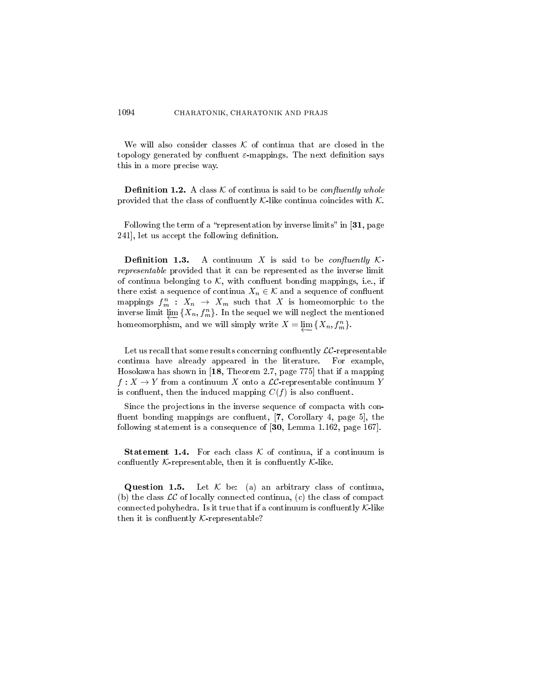#### 1094 CHARATONIK, CHARATONIK AND PRAJS

We will also consider classes  $K$  of continua that are closed in the topology generated by confluent  $\varepsilon$ -mappings. The next definition says this in a more precise way.

**Definition 1.2.** A class  $K$  of continua is said to be *confluently whole* provided that the class of confluently  $K$ -like continua coincides with  $K$ .

Following the term of a "representation by inverse limits" in [31, page 241], let us accept the following definition.

Definition 1.3. A continuum X is said to be *confluently*  $K$ *representable* provided that it can be represented as the inverse limit of continua belonging to  $K$ , with confluent bonding mappings, i.e., if there exist a sequence of continua  $X_n \in \mathcal{K}$  and a sequence of confluent mappings  $f_m^n$  :  $X_n \to X_m$  such that X is homeomorphic to the inverse limit  $\lim_{m \to \infty} \{X_n, f_m^n\}$ . In the sequel we will neglect the mentioned homeomorphism, and we will simply write  $X = \varprojlim \{X_n, f_m^n\}.$ 

Let us recall that some results concerning confluently  $LC$ -representable continua have already appeared in the literature. For example, Hosokawa has shown in  $[18,$  Theorem 2.7, page 775 that if a mapping  $f: X \to Y$  from a continuum X onto a  $LC$ -representable continuum Y is confluent, then the induced mapping  $C(f)$  is also confluent.

Since the projections in the inverse sequence of compacta with confluent bonding mappings are confluent, [7, Corollary 4, page 5], the following statement is a consequence of [30, Lemma 1.162, page 167].

**Statement 1.4.** For each class  $K$  of continua, if a continuum is confluently *K*-representable, then it is confluently *K*-like.

Let  $K$  be: (a) an arbitrary class of continua, Question 1.5. (b) the class  $LC$  of locally connected continua, (c) the class of compact connected pohyhedra. Is it true that if a continuum is confluently  $K$ -like then it is confluently  $K$ -representable?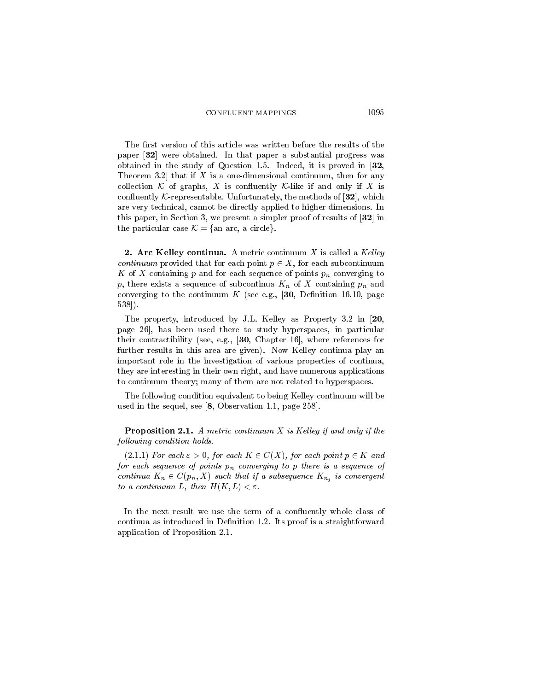The first version of this article was written before the results of the paper [32] were obtained. In that paper a substantial progress was obtained in the study of Question 1.5. Indeed, it is proved in  $\mathbf{32}$ , Theorem 3.2 that if  $X$  is a one-dimensional continuum, then for any collection K of graphs, X is confluently K-like if and only if X is confluently  $K$ -representable. Unfortunately, the methods of [32], which are very technical, cannot be directly applied to higher dimensions. In this paper, in Section 3, we present a simpler proof of results of  $[32]$  in the particular case  $K = \{an arc, a circle\}.$ 

**2. Arc Kelley continua.** A metric continuum  $X$  is called a Kelley *continuum* provided that for each point  $p \in X$ , for each subcontinuum K of X containing p and for each sequence of points  $p_n$  converging to p, there exists a sequence of subcontinua  $K_n$  of X containing  $p_n$  and converging to the continuum  $K$  (see e.g., [30, Definition 16.10, page  $538$ ).

The property, introduced by J.L. Kelley as Property 3.2 in [20, page 26, has been used there to study hyperspaces, in particular their contractibility (see, e.g.,  $[30,$  Chapter 16], where references for further results in this area are given). Now Kelley continua play an important role in the investigation of various properties of continua, they are interesting in their own right, and have numerous applications to continuum theory; many of them are not related to hyperspaces.

The following condition equivalent to being Kelley continuum will be used in the sequel, see  $[8,$  Observation 1.1, page 258.

**Proposition 2.1.** A metric continuum  $X$  is Kelley if and only if the following condition holds.

 $(2.1.1)$  For each  $\varepsilon > 0$ , for each  $K \in C(X)$ , for each point  $p \in K$  and for each sequence of points  $p_n$  converging to p there is a sequence of continua  $K_n \in C(p_n, X)$  such that if a subsequence  $K_{n_j}$  is convergent to a continuum L, then  $H(K, L) < \varepsilon$ .

In the next result we use the term of a confluently whole class of continua as introduced in Definition 1.2. Its proof is a straightforward application of Proposition 2.1.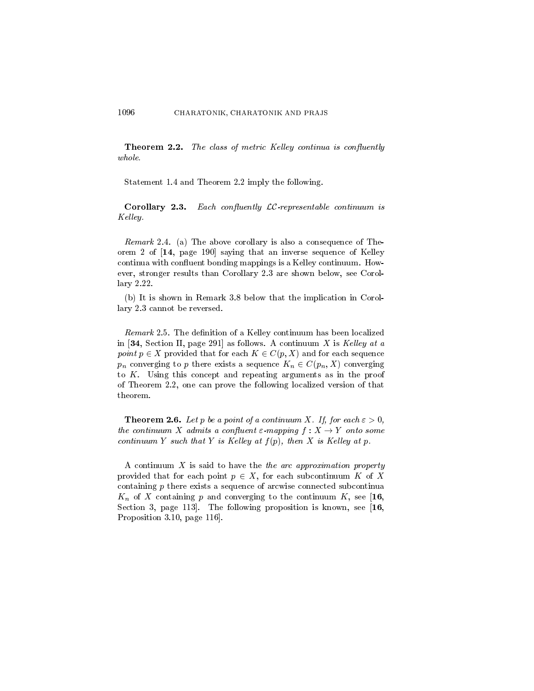**Theorem 2.2.** The class of metric Kelley continua is confluently  $whole.$ 

Statement 1.4 and Theorem 2.2 imply the following.

**Corollary 2.3.** Each confluently  $LC$ -representable continuum is Kelley.

*Remark* 2.4. (a) The above corollary is also a consequence of Theorem 2 of [14, page 190] saying that an inverse sequence of Kelley continua with confluent bonding mappings is a Kelley continuum. However, stronger results than Corollary 2.3 are shown below, see Corollary 2.22.

(b) It is shown in Remark 3.8 below that the implication in Corollary 2.3 cannot be reversed.

*Remark* 2.5. The definition of a Kelley continuum has been localized in [34, Section II, page 291] as follows. A continuum X is Kelley at a point  $p \in X$  provided that for each  $K \in C(p, X)$  and for each sequence  $p_n$  converging to p there exists a sequence  $K_n \in C(p_n, X)$  converging to  $K$ . Using this concept and repeating arguments as in the proof of Theorem 2.2, one can prove the following localized version of that theorem.

**Theorem 2.6.** Let p be a point of a continuum X. If, for each  $\varepsilon > 0$ , the continuum X admits a confluent  $\varepsilon$ -mapping  $f: X \to Y$  onto some continuum Y such that Y is Kelley at  $f(p)$ , then X is Kelley at p.

A continuum  $X$  is said to have the *the arc approximation property* provided that for each point  $p \in X$ , for each subcontinuum K of X containing  $p$  there exists a sequence of arcwise connected subcontinua  $K_n$  of X containing p and converging to the continuum K, see [16, Section 3, page 113. The following proposition is known, see  $[16,$ Proposition 3.10, page 116.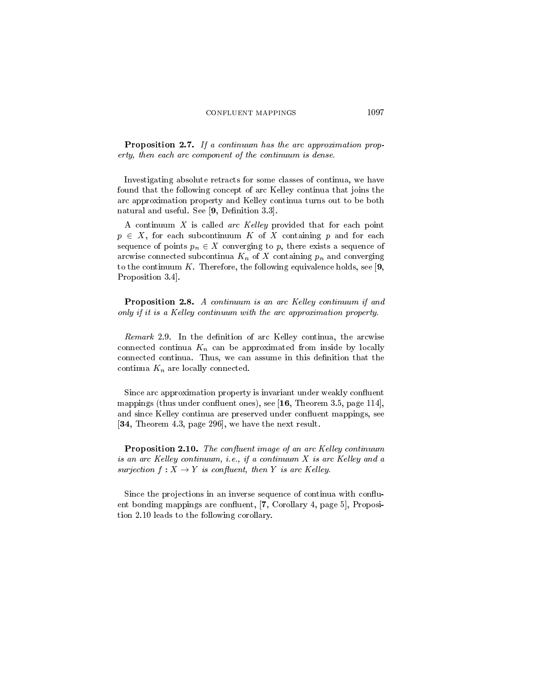**Proposition 2.7.** If a continuum has the arc approximation property, then each arc component of the continuum is dense.

Investigating absolute retracts for some classes of continua, we have found that the following concept of arc Kelley continua that joins the arc approximation property and Kelley continua turns out to be both natural and useful. See [9, Definition 3.3].

A continuum  $X$  is called arc Kelley provided that for each point  $p \in X$ , for each subcontinuum K of X containing p and for each sequence of points  $p_n \in X$  converging to p, there exists a sequence of arcwise connected subcontinua  $K_n$  of X containing  $p_n$  and converging to the continuum K. Therefore, the following equivalence holds, see [9, Proposition 3.4.

**Proposition 2.8.** A continuum is an arc Kelley continuum if and only if it is a Kelley continuum with the arc approximation property.

Remark 2.9. In the definition of arc Kelley continua, the arcwise connected continua  $K_n$  can be approximated from inside by locally connected continua. Thus, we can assume in this definition that the continua  $K_n$  are locally connected.

Since arc approximation property is invariant under weakly confluent mappings (thus under confluent ones), see  $[16,$  Theorem 3.5, page 114, and since Kelley continua are preserved under confluent mappings, see [34, Theorem 4.3, page 296], we have the next result.

**Proposition 2.10.** The confluent image of an arc Kelley continuum is an arc Kelley continuum, i.e., if a continuum X is arc Kelley and a surjection  $f: X \to Y$  is confluent, then Y is arc Kelley.

Since the projections in an inverse sequence of continua with confluent bonding mappings are confluent, [7, Corollary 4, page 5], Proposition 2.10 leads to the following corollary.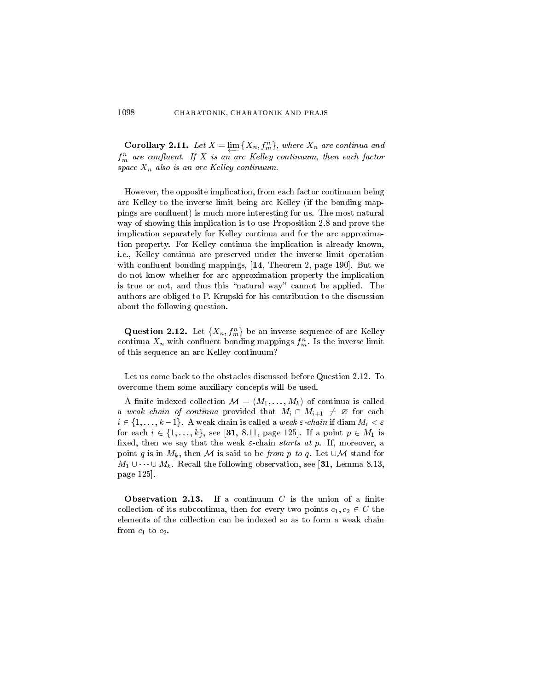**Corollary 2.11.** Let  $X = \lim_{n \to \infty} \{X_n, f_m^n\}$ , where  $X_n$  are continua and  $f_m^n$  are confluent. If X is an arc Kelley continuum, then each factor space  $X_n$  also is an arc Kelley continuum.

However, the opposite implication, from each factor continuum being arc Kelley to the inverse limit being arc Kelley (if the bonding mappings are confluent) is much more interesting for us. The most natural way of showing this implication is to use Proposition 2.8 and prove the implication separately for Kelley continua and for the arc approximation property. For Kelley continua the implication is already known, i.e., Kelley continua are preserved under the inverse limit operation with confluent bonding mappings, [14, Theorem 2, page 190]. But we do not know whether for arc approximation property the implication is true or not, and thus this "natural way" cannot be applied. The authors are obliged to P. Krupski for his contribution to the discussion about the following question.

**Question 2.12.** Let  $\{X_n, f_m^n\}$  be an inverse sequence of arc Kelley continua  $X_n$  with confluent bonding mappings  $f_m^n$ . Is the inverse limit of this sequence an arc Kelley continuum?

Let us come back to the obstacles discussed before Question 2.12. To overcome them some auxiliary concepts will be used.

A finite indexed collection  $\mathcal{M} = (M_1, \ldots, M_k)$  of continua is called a weak chain of continua provided that  $M_i \cap M_{i+1} \neq \emptyset$  for each  $i \in \{1, \ldots, k-1\}$ . A weak chain is called a weak  $\varepsilon$ -chain if diam  $M_i < \varepsilon$ for each  $i \in \{1, ..., k\}$ , see [31, 8.11, page 125]. If a point  $p \in M_1$  is fixed, then we say that the weak  $\varepsilon$ -chain starts at p. If, moreover, a point q is in  $M_k$ , then M is said to be from p to q. Let  $\cup \mathcal{M}$  stand for  $M_1 \cup \cdots \cup M_k$ . Recall the following observation, see [31, Lemma 8.13, page 125.

Observation 2.13. If a continuum  $C$  is the union of a finite collection of its subcontinua, then for every two points  $c_1, c_2 \in C$  the elements of the collection can be indexed so as to form a weak chain from  $c_1$  to  $c_2$ .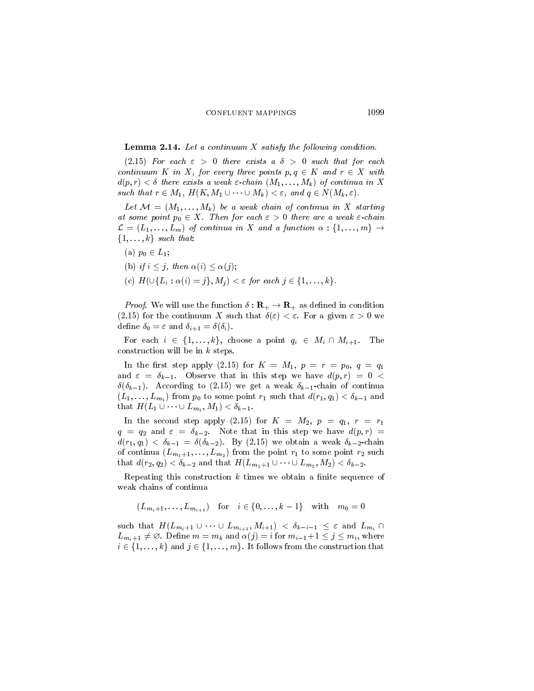### **Lemma 2.14.** Let a continuum  $X$  satisfy the following condition.

(2.15) For each  $\varepsilon > 0$  there exists a  $\delta > 0$  such that for each continuum K in X, for every three points  $p, q \in K$  and  $r \in X$  with  $d(p,r) < \delta$  there exists a weak  $\varepsilon$ -chain  $(M_1,\ldots,M_k)$  of continua in X such that  $r \in M_1$ ,  $H(K, M_1 \cup \cdots \cup M_k) < \varepsilon$ , and  $q \in N(M_k, \varepsilon)$ .

Let  $\mathcal{M} = (M_1, \ldots, M_k)$  be a weak chain of continua in X starting at some point  $p_0 \in X$ . Then for each  $\varepsilon > 0$  there are a weak  $\varepsilon$ -chain  $\mathcal{L} = (L_1, \ldots, L_m)$  of continua in X and a function  $\alpha : \{1, \ldots, m\} \rightarrow$  $\{1,\ldots,k\}$  such that:

(a)  $p_0 \in L_1$ ;

(b) if 
$$
i \leq j
$$
, then  $\alpha(i) \leq \alpha(j)$ 

(b) if  $i \leq j$ , then  $\alpha(i) \leq \alpha(j)$ ;<br>(c)  $H(\cup \{L_i : \alpha(i) = j\}, M_j) < \varepsilon$  for each  $j \in \{1, ..., k\}$ .

*Proof.* We will use the function  $\delta : \mathbf{R}_{+} \to \mathbf{R}_{+}$  as defined in condition (2.15) for the continuum X such that  $\delta(\varepsilon) < \varepsilon$ . For a given  $\varepsilon > 0$  we define  $\delta_0 = \varepsilon$  and  $\delta_{i+1} = \delta(\delta_i)$ .

For each  $i \in \{1, ..., k\}$ , choose a point  $q_i \in M_i \cap M_{i+1}$ . The construction will be in  $k$  steps.

In the first step apply (2.15) for  $K = M_1$ ,  $p = r = p_0$ ,  $q = q_1$ and  $\varepsilon = \delta_{k-1}$ . Observe that in this step we have  $d(p, r) = 0$  $\delta(\delta_{k-1})$ . According to (2.15) we get a weak  $\delta_{k-1}$ -chain of continua  $(L_1,\ldots,L_{m_1})$  from  $p_0$  to some point  $r_1$  such that  $d(r_1,q_1) < \delta_{k-1}$  and that  $H(L_1 \cup \cdots \cup L_{m_1}, M_1) < \delta_{k-1}$ .

In the second step apply (2.15) for  $K = M_2$ ,  $p = q_1$ ,  $r = r_1$  $q = q_2$  and  $\varepsilon = \delta_{k-2}$ . Note that in this step we have  $d(p, r)$  =  $d(r_1, q_1) < \delta_{k-1} = \delta(\delta_{k-2})$ . By (2.15) we obtain a weak  $\delta_{k-2}$ -chain of continua  $(L_{m_1+1},...,L_{m_2})$  from the point  $r_1$  to some point  $r_2$  such that  $d(r_2, q_2) < \delta_{k-2}$  and that  $H(L_{m_1+1} \cup \cdots \cup L_{m_2}, M_2) < \delta_{k-2}$ .

Repeating this construction  $k$  times we obtain a finite sequence of weak chains of continua

$$
(L_{m_i+1},...,L_{m_{i+1}})
$$
 for  $i \in \{0,...,k-1\}$  with  $m_0 = 0$ 

such that  $H(L_{m_i+1} \cup \cdots \cup L_{m_{i+1}}, M_{i+1}) < \delta_{k-i-1} \leq \varepsilon$  and  $L_{m_i} \cap$  $L_{m_i+1} \neq \emptyset$ . Define  $m = m_k$  and  $\alpha(j) = i$  for  $m_{i-1}+1 \leq j \leq m_i$ , where  $i \in \{1, \ldots, k\}$  and  $j \in \{1, \ldots, m\}$ . It follows from the construction that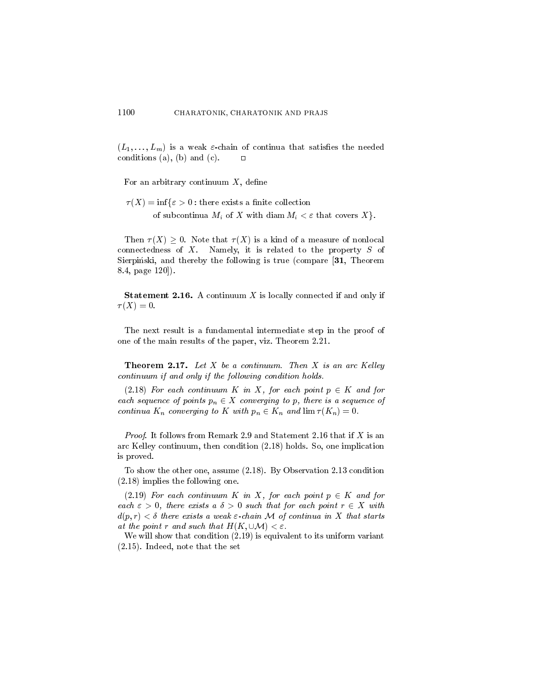$(L_1,\ldots,L_m)$  is a weak  $\varepsilon$ -chain of continua that satisfies the needed conditions (a), (b) and (c).  $\mathbf{\mathsf{m}}$ 

For an arbitrary continuum  $X$ , define

 $\tau(X) = \inf \{ \varepsilon > 0 : \text{there exists a finite collection} \}$ of subcontinua  $M_i$  of X with diam  $M_i < \varepsilon$  that covers X.

Then  $\tau(X) > 0$ . Note that  $\tau(X)$  is a kind of a measure of nonlocal connectedness of  $X$ . Namely, it is related to the property  $S$  of Sierpiński, and thereby the following is true (compare [31, Theorem  $8.4$ , page  $120$ .

**Statement 2.16.** A continuum  $X$  is locally connected if and only if  $\tau(X)=0.$ 

The next result is a fundamental intermediate step in the proof of one of the main results of the paper, viz. Theorem 2.21.

**Theorem 2.17.** Let X be a continuum. Then X is an arc Kelley continuum if and only if the following condition holds.

 $(2.18)$  For each continuum K in X, for each point  $p \in K$  and for each sequence of points  $p_n \in X$  converging to p, there is a sequence of continua  $K_n$  converging to K with  $p_n \in K_n$  and  $\lim \tau(K_n) = 0$ .

*Proof.* It follows from Remark 2.9 and Statement 2.16 that if X is an arc Kelley continuum, then condition (2.18) holds. So, one implication is proved.

To show the other one, assume  $(2.18)$ . By Observation 2.13 condition  $(2.18)$  implies the following one.

(2.19) For each continuum K in X, for each point  $p \in K$  and for each  $\varepsilon > 0$ , there exists a  $\delta > 0$  such that for each point  $r \in X$  with  $d(p,r) < \delta$  there exists a weak  $\varepsilon$ -chain M of continua in X that starts at the point r and such that  $H(K,\cup\mathcal{M}) < \varepsilon$ .

We will show that condition  $(2.19)$  is equivalent to its uniform variant  $(2.15)$ . Indeed, note that the set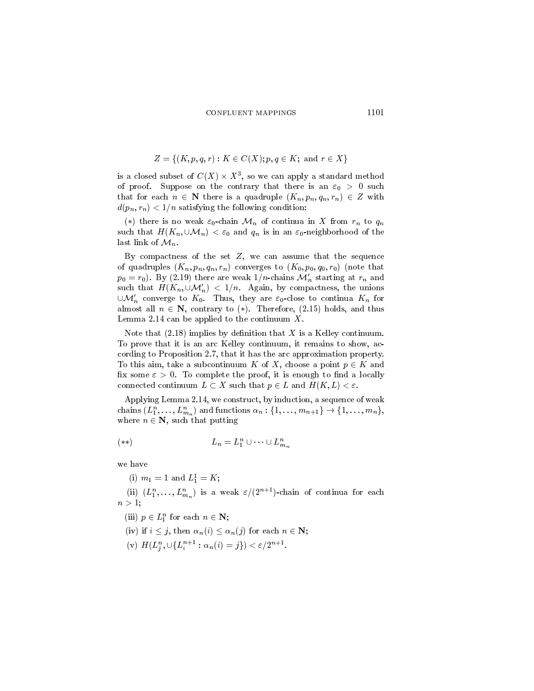$$
Z = \{(K, p, q, r) : K \in C(X); p, q \in K; \text{ and } r \in X\}
$$

is a closed subset of  $C(X) \times X^3$ , so we can apply a standard method of proof. Suppose on the contrary that there is an  $\varepsilon_0 > 0$  such that for each  $n \in \mathbb{N}$  there is a quadruple  $(K_n, p_n, q_n, r_n) \in Z$  with  $d(p_n, r_n) < 1/n$  satisfying the following condition:

(\*) there is no weak  $\varepsilon_0$ -chain  $\mathcal{M}_n$  of continua in X from  $r_n$  to  $q_n$ such that  $H(K_n,\cup\mathcal{M}_n)<\varepsilon_0$  and  $q_n$  is in an  $\varepsilon_0$ -neighborhood of the last link of  $\mathcal{M}_n$ .

By compactness of the set  $Z$ , we can assume that the sequence of quadruples  $(K_n, p_n, q_n, r_n)$  converges to  $(K_0, p_0, q_0, r_0)$  (note that  $p_0 = r_0$ ). By (2.19) there are weak  $1/n$ -chains  $\mathcal{M}'_n$  starting at  $r_n$  and such that  $H(K_n, \cup \mathcal{M}'_n) < 1/n$ . Again, by compactness, the unions  $\cup \mathcal{M}'_n$  converge to  $K_0$ . Thus, they are  $\varepsilon_0$ -close to continua  $K_n$  for almost all  $n \in \mathbb{N}$ , contrary to (\*). Therefore, (2.15) holds, and thus Lemma 2.14 can be applied to the continuum  $X$ .

Note that  $(2.18)$  implies by definition that X is a Kelley continuum. To prove that it is an arc Kelley continuum, it remains to show, according to Proposition 2.7, that it has the arc approximation property. To this aim, take a subcontinuum K of X, choose a point  $p \in K$  and fix some  $\varepsilon > 0$ . To complete the proof, it is enough to find a locally connected continuum  $L \subset X$  such that  $p \in L$  and  $H(K, L) < \varepsilon$ .

Applying Lemma 2.14, we construct, by induction, a sequence of weak chains  $(L_1^n, \ldots, L_{m_n}^n)$  and functions  $\alpha_n : \{1, \ldots, m_{n+1}\} \to \{1, \ldots, m_n\},$ where  $n \in \mathbb{N}$ , such that putting

$$
(*)\qquad \qquad L_n = L_1^n \cup \dots \cup L_m^n
$$

we have

(i)  $m_1 = 1$  and  $L_1^1 = K$ ;

(ii)  $(L_1^n, \ldots, L_{m_n}^n)$  is a weak  $\varepsilon/(2^{n+1})$ -chain of continua for each  $n>1$ :

(iii)  $p \in L_1^n$  for each  $n \in \mathbb{N}$ ;

(iv) if  $i \leq j$ , then  $\alpha_n(i) \leq \alpha_n(j)$  for each  $n \in \mathbb{N}$ ;

(v)  $H(L_j^n, \bigcup \{L_i^{n+1} : \alpha_n(i) = j\}) < \varepsilon/2^{n+1}.$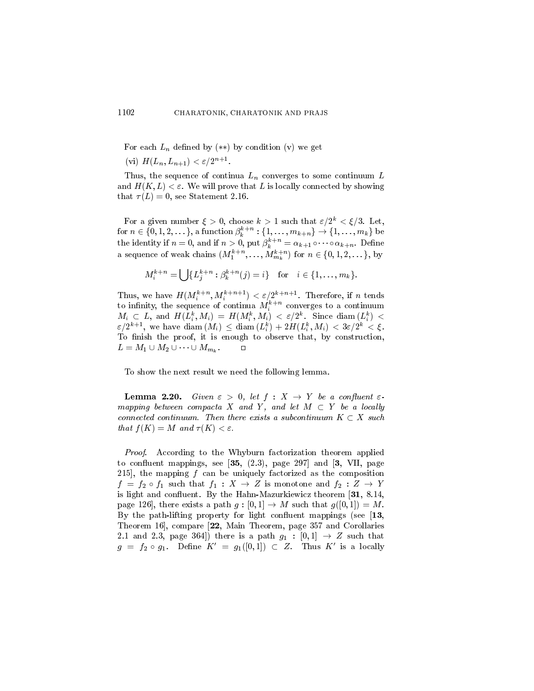For each  $L_n$  defined by  $(**)$  by condition (v) we get (vi)  $H(L_n, L_{n+1}) < \varepsilon/2^{n+1}$ .

1102

Thus, the sequence of continua  $L_n$  converges to some continuum  $L$ and  $H(K, L) < \varepsilon$ . We will prove that L is locally connected by showing that  $\tau(L) = 0$ , see Statement 2.16.

For a given number  $\xi > 0$ , choose  $k > 1$  such that  $\varepsilon/2^k < \xi/3$ . Let, for  $n \in \{0, 1, 2, ...\}$ , a function  $\beta_k^{k+n} : \{1, ..., m_{k+n}\} \to \{1, ..., m_k\}$  be the identity if  $n = 0$ , and if  $n > 0$ , put  $\beta_k^{k+n} = \alpha_{k+1} \circ \cdots \circ \alpha_{k+n}$ . Define<br>a sequence of weak chains  $(M_1^{k+n}, \ldots, M_{m_k}^{k+n})$  for  $n \in \{0, 1, 2, \ldots\}$ , by

$$
M_i^{k+n} = \bigcup \{ L_j^{k+n} : \beta_k^{k+n}(j) = i \} \text{ for } i \in \{1, ..., m_k\}.
$$

Thus, we have  $H(M_i^{k+n}, M_i^{k+n+1}) < \varepsilon/2^{k+n+1}$ . Therefore, if *n* tends to infinity, the sequence of continua  $M_i^{k+n}$  converges to a continuum  $M_i \subset L$ , and  $H(L_i^k, M_i) = H(M_i^k, M_i) < \varepsilon/2^k$ . Since diam  $(L_i^k)$  $\varepsilon/2^{k+1}$ , we have diam  $(M_i) \leq$  diam  $(L_i^k) + 2H(L_i^k, M_i) < 3\varepsilon/2^k < \xi$ . To finish the proof, it is enough to observe that, by construction,  $L = M_1 \cup M_2 \cup \cdots \cup M_{m_k}.$  $\Box$ 

To show the next result we need the following lemma.

**Lemma 2.20.** Given  $\varepsilon > 0$ , let  $f : X \to Y$  be a confluent  $\varepsilon$ mapping between compacta X and Y, and let  $M \subset Y$  be a locally connected continuum. Then there exists a subcontinuum  $K \subset X$  such that  $f(K) = M$  and  $\tau(K) < \varepsilon$ .

*Proof.* According to the Whyburn factorization theorem applied to confluent mappings, see  $[35, (2.3),$  page 297 and  $[3, VII,$  page 215, the mapping  $f$  can be uniquely factorized as the composition  $f = f_2 \circ f_1$  such that  $f_1: X \to Z$  is monotone and  $f_2: Z \to Y$ is light and confluent. By the Hahn-Mazurkiewicz theorem  $[31, 8.14,$ page 126, there exists a path  $g: [0,1] \rightarrow M$  such that  $g([0,1]) = M$ . By the path-lifting property for light confluent mappings (see  $[13,$ Theorem 16, compare [22, Main Theorem, page 357 and Corollaries 2.1 and 2.3, page 364) there is a path  $g_1 : [0,1] \rightarrow Z$  such that  $g = f_2 \circ g_1$ . Define  $K' = g_1([0,1]) \subset Z$ . Thus K' is a locally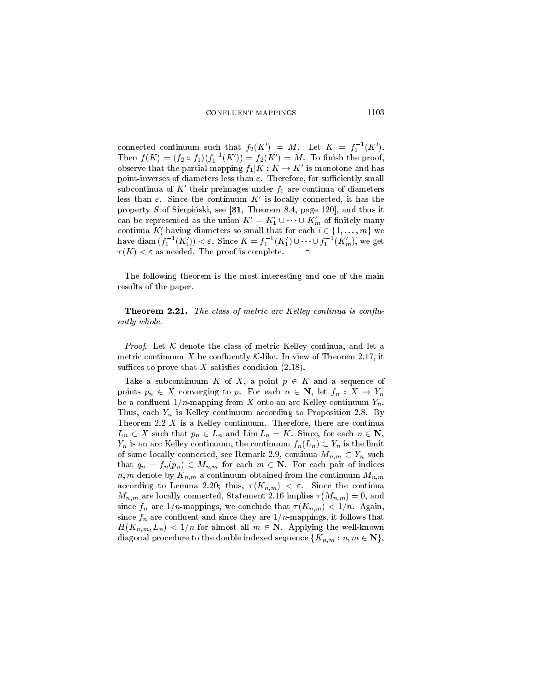connected continuum such that  $f_2(K') = M$ . Let  $K = f_1^{-1}(K')$ . Then  $f(K) = (f_2 \circ f_1)(f_1^{-1}(K')) = f_2(K') = M$ . To finish the proof, observe that the partial mapping  $f_1|K: K \to K'$  is monotone and has point-inverses of diameters less than  $\varepsilon$ . Therefore, for sufficiently small subcontinua of  $K'$  their preimages under  $f_1$  are continua of diameters less than  $\varepsilon$ . Since the continuum K' is locally connected, it has the property S of Sierpiński, see [31, Theorem 8.4, page 120], and thus it can be represented as the union  $K' = K'_1 \cup \cdots \cup K'_m$  of finitely many continua  $K'_i$  having diameters so small that for each  $i \in \{1, ..., m\}$  we have diam  $(f_1^{-1}(K_i)) < \varepsilon$ . Since  $K = f_1^{-1}(K_1') \cup \cdots \cup f_1^{-1}(K_m')$ , we get  $\tau(K) < \varepsilon$  as needed. The proof is complete.  $\Box$ 

The following theorem is the most interesting and one of the main results of the paper.

Theorem 2.21. The class of metric arc Kelley continua is confluently whole.

*Proof.* Let  $K$  denote the class of metric Kelley continua, and let a metric continuum X be confluently K-like. In view of Theorem 2.17, it suffices to prove that X satisfies condition  $(2.18)$ .

Take a subcontinuum K of X, a point  $p \in K$  and a sequence of points  $p_n \in X$  converging to p. For each  $n \in \mathbb{N}$ , let  $f_n : X \to Y_n$ be a confluent  $1/n$ -mapping from X onto an arc Kelley continuum  $Y_n$ . Thus, each  $Y_n$  is Kelley continuum according to Proposition 2.8. By Theorem 2.2  $X$  is a Kelley continuum. Therefore, there are continua  $L_n \subset X$  such that  $p_n \in L_n$  and  $\lim L_n = K$ . Since, for each  $n \in \mathbb{N}$ ,  $Y_n$  is an arc Kelley continuum, the continuum  $f_n(L_n) \subset Y_n$  is the limit of some locally connected, see Remark 2.9, continua  $M_{n,m} \subset Y_n$  such that  $q_n = f_n(p_n) \in M_{n,m}$  for each  $m \in \mathbb{N}$ . For each pair of indices  $n, m$  denote by  $K_{n,m}$  a continuum obtained from the continuum  $M_{n,m}$ according to Lemma 2.20; thus,  $\tau(K_{n,m}) < \varepsilon$ . Since the continua  $M_{n,m}$  are locally connected, Statement 2.16 implies  $\tau(M_{n,m})=0$ , and since  $f_n$  are  $1/n$ -mappings, we conclude that  $\tau(K_{n,m}) < 1/n$ . Again, since  $f_n$  are confluent and since they are  $1/n$ -mappings, it follows that  $H(K_{n,m}, L_n) < 1/n$  for almost all  $m \in \mathbb{N}$ . Applying the well-known diagonal procedure to the double indexed sequence  $\{K_{n,m}: n,m \in \mathbb{N}\},\$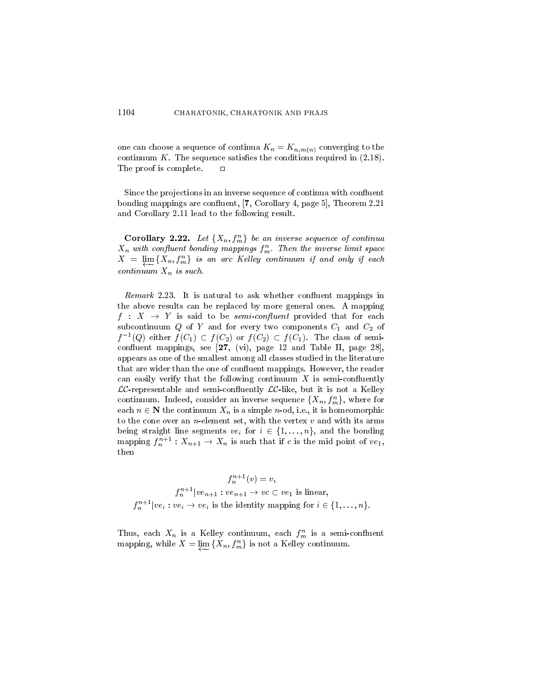one can choose a sequence of continua  $K_n = K_{n,m(n)}$  converging to the continuum  $K$ . The sequence satisfies the conditions required in  $(2.18)$ . The proof is complete.  $\Box$ 

Since the projections in an inverse sequence of continua with confluent bonding mappings are confluent, [7, Corollary 4, page 5], Theorem 2.21 and Corollary 2.11 lead to the following result.

**Corollary 2.22.** Let  $\{X_n, f_m^n\}$  be an inverse sequence of continua  $X_n$  with confluent bonding mappings  $f_m^n$ . Then the inverse limit space  $X = \lim_{m \to \infty} \{X_n, f_m^n\}$  is an arc Kelley continuum if and only if each continuum  $X_n$  is such.

Remark 2.23. It is natural to ask whether confluent mappings in the above results can be replaced by more general ones. A mapping  $f: X \rightarrow Y$  is said to be *semi-confluent* provided that for each subcontinuum Q of Y and for every two components  $C_1$  and  $C_2$  of  $f^{-1}(Q)$  either  $f(C_1) \subset f(C_2)$  or  $f(C_2) \subset f(C_1)$ . The class of semiconfluent mappings, see  $[27, (vi),$  page 12 and Table II, page 28, appears as one of the smallest among all classes studied in the literature that are wider than the one of confluent mappings. However, the reader can easily verify that the following continuum  $X$  is semi-confluently  $LC$ -representable and semi-confluently  $LC$ -like, but it is not a Kelley continuum. Indeed, consider an inverse sequence  $\{X_n, f_m^n\}$ , where for each  $n \in \mathbb{N}$  the continuum  $X_n$  is a simple *n*-od, i.e., it is homeomorphic to the cone over an  $n$ -element set, with the vertex  $v$  and with its arms being straight line segments  $ve_i$  for  $i \in \{1, ..., n\}$ , and the bonding mapping  $f_n^{n+1}: X_{n+1} \to X_n$  is such that if c is the mid point of  $ve_1$ , then

$$
f_n^{n+1}(v) = v,
$$
  
\n
$$
f_n^{n+1}|ve_{n+1}:ve_{n+1} \to vc \subset ve_1
$$
 is linear,  
\n
$$
f_n^{n+1}|ve_i:ve_i \to ve_i
$$
 is the identity mapping for  $i \in \{1, ..., n\}.$ 

Thus, each  $X_n$  is a Kelley continuum, each  $f_m^n$  is a semi-confluent mapping, while  $X = \varprojlim \{X_n, f_m^n\}$  is not a Kelley continuum.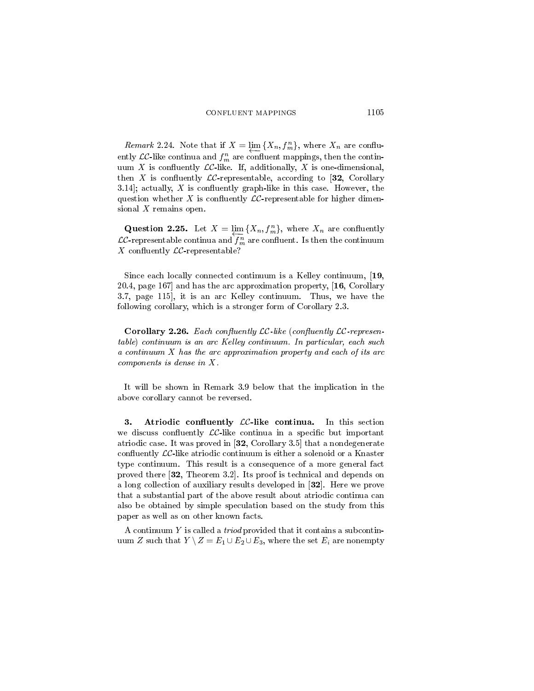*Remark* 2.24. Note that if  $X = \lim_{n \to \infty} \{X_n, f_m^n\}$ , where  $X_n$  are confluently  $\mathcal{LC}\text{-like continua and}\ f^n_m$  are confluent mappings, then the continuum X is confluently  $LC$ -like. If, additionally, X is one-dimensional, then X is confluently  $LC$ -representable, according to [32, Corollary 3.14; actually, X is confluently graph-like in this case. However, the question whether X is confluently  $LC$ -representable for higher dimensional  $X$  remains open.

**Question 2.25.** Let  $X = \lim_{n \to \infty} \{X_n, f_m^n\}$ , where  $X_n$  are confluently  $\mathcal{LC}$ -representable continua and  $f_m^n$  are confluent. Is then the continuum X confluently  $LC$ -representable?

Since each locally connected continuum is a Kelley continuum, [19, 20.4, page 167 and has the arc approximation property, [16, Corollary 3.7, page 115, it is an arc Kelley continuum. Thus, we have the following corollary, which is a stronger form of Corollary 2.3.

**Corollary 2.26.** Each confluently  $LC$ -like (confluently  $LC$ -representable) continuum is an arc Kelley continuum. In particular, each such a continuum X has the arc approximation property and each of its arc components is dense in  $X$ .

It will be shown in Remark 3.9 below that the implication in the above corollary cannot be reversed.

Atriodic confluently  $LC$ -like continua. In this section 3. we discuss confluently  $LC$ -like continua in a specific but important atriodic case. It was proved in [32, Corollary 3.5] that a nondegenerate confluently  $\mathcal{LC}$ -like atriodic continuum is either a solenoid or a Knaster type continuum. This result is a consequence of a more general fact proved there [32, Theorem 3.2]. Its proof is technical and depends on a long collection of auxiliary results developed in  $[32]$ . Here we prove that a substantial part of the above result about atriodic continua can also be obtained by simple speculation based on the study from this paper as well as on other known facts.

A continuum  $Y$  is called a *triod* provided that it contains a subcontinuum Z such that  $Y \setminus Z = E_1 \cup E_2 \cup E_3$ , where the set  $E_i$  are nonempty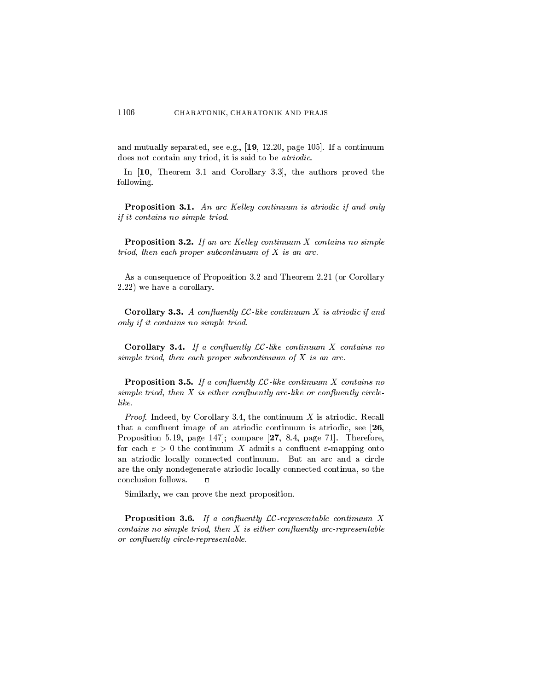and mutually separated, see e.g.,  $[19, 12.20,$  page 105. If a continuum does not contain any triod, it is said to be *atriodic*.

In [10, Theorem 3.1 and Corollary 3.3], the authors proved the following.

**Proposition 3.1.** An arc Kelley continuum is atriodic if and only if it contains no simple triod.

**Proposition 3.2.** If an arc Kelley continuum  $X$  contains no simple triod, then each proper subcontinuum of  $X$  is an arc.

As a consequence of Proposition 3.2 and Theorem 2.21 (or Corollary  $(2.22)$  we have a corollary.

**Corollary 3.3.** A confluently  $LC$ -like continuum X is atriodic if and only if it contains no simple triod.

**Corollary 3.4.** If a confluently  $LC$ -like continuum X contains no simple triod, then each proper subcontinuum of  $X$  is an arc.

**Proposition 3.5.** If a confluently  $LC$ -like continuum X contains no simple triod, then  $X$  is either confluently arc-like or confluently circlelike.

*Proof.* Indeed, by Corollary 3.4, the continuum  $X$  is atriodic. Recall that a confluent image of an atriodic continuum is atriodic, see  $[26,$ Proposition 5.19, page 147]; compare [27, 8.4, page 71]. Therefore, for each  $\varepsilon > 0$  the continuum X admits a confluent  $\varepsilon$ -mapping onto an atriodic locally connected continuum. But an arc and a circle are the only nondegenerate atriodic locally connected continua, so the conclusion follows.  $\Box$ 

Similarly, we can prove the next proposition.

**Proposition 3.6.** If a confluently  $LC$ -representable continuum X contains no simple triod, then  $X$  is either confluently arc-representable or confluently circle-representable.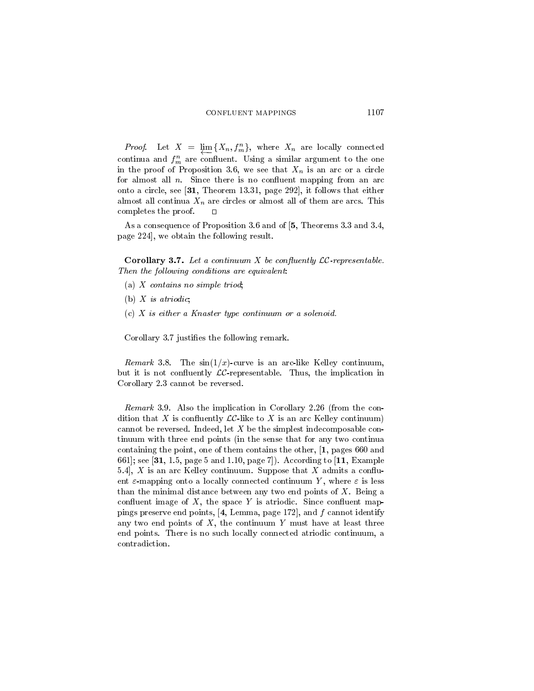*Proof.* Let  $X = \lim_{n \to \infty} \{X_n, f_m^n\}$ , where  $X_n$  are locally connected continua and  $f_m^n$  are confluent. Using a similar argument to the one in the proof of Proposition 3.6, we see that  $X_n$  is an arc or a circle for almost all  $n$ . Since there is no confluent mapping from an arc onto a circle, see [31, Theorem 13.31, page 292], it follows that either almost all continua  $X_n$  are circles or almost all of them are arcs. This completes the proof.

As a consequence of Proposition 3.6 and of [5, Theorems 3.3 and 3.4, page 224, we obtain the following result.

**Corollary 3.7.** Let a continuum X be confluently  $LC$ -representable. Then the following conditions are equivalent:

- (a) X contains no simple triod;
- (b)  $X$  is atriodic;
- $(c)$  X is either a Knaster type continuum or a solenoid.

Corollary 3.7 justifies the following remark.

*Remark* 3.8. The  $sin(1/x)$ -curve is an arc-like Kelley continuum, but it is not confluently  $LC$ -representable. Thus, the implication in Corollary 2.3 cannot be reversed.

Remark 3.9. Also the implication in Corollary 2.26 (from the condition that X is confluently  $LC$ -like to X is an arc Kelley continuum) cannot be reversed. Indeed, let  $X$  be the simplest indecomposable continuum with three end points (in the sense that for any two continua containing the point, one of them contains the other,  $\left[1, \text{pages } 660 \text{ and } \right]$ 661; see [31, 1.5, page 5 and 1.10, page 7]). According to [11, Example 5.4,  $X$  is an arc Kelley continuum. Suppose that  $X$  admits a confluent  $\varepsilon$ -mapping onto a locally connected continuum Y, where  $\varepsilon$  is less than the minimal distance between any two end points of  $X$ . Being a confluent image of  $X$ , the space Y is atriodic. Since confluent mappings preserve end points, [4, Lemma, page 172], and  $f$  cannot identify any two end points of  $X$ , the continuum  $Y$  must have at least three end points. There is no such locally connected atriodic continuum, a contradiction.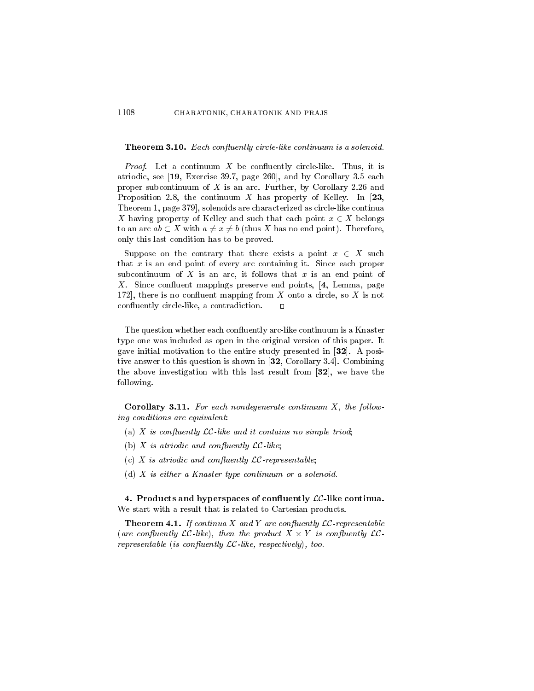#### 1108 CHARATONIK, CHARATONIK AND PRAJS

### **Theorem 3.10.** Each confluently circle-like continuum is a solenoid.

*Proof.* Let a continuum  $X$  be confluently circle-like. Thus, it is atriodic, see [19, Exercise 39.7, page 260], and by Corollary 3.5 each proper subcontinuum of  $X$  is an arc. Further, by Corollary 2.26 and Proposition 2.8, the continuum X has property of Kelley. In [23, Theorem 1, page 379, solenoids are characterized as circle-like continua X having property of Kelley and such that each point  $x \in X$  belongs to an arc  $ab \subset X$  with  $a \neq x \neq b$  (thus X has no end point). Therefore, only this last condition has to be proved.

Suppose on the contrary that there exists a point  $x \in X$  such that  $x$  is an end point of every arc containing it. Since each proper subcontinuum of  $X$  is an arc, it follows that  $x$  is an end point of X. Since confluent mappings preserve end points, [4, Lemma, page 172, there is no confluent mapping from  $X$  onto a circle, so  $X$  is not confluently circle-like, a contradiction.  $\blacksquare$ 

The question whether each confluently arc-like continuum is a Knaster type one was included as open in the original version of this paper. It gave initial motivation to the entire study presented in [32]. A positive answer to this question is shown in [32, Corollary 3.4]. Combining the above investigation with this last result from [32], we have the following.

Corollary 3.11. For each nondegenerate continuum  $X$ , the following conditions are equivalent:

- (a) X is confluently  $LC$ -like and it contains no simple triod;
- (b)  $X$  is atriodic and confluently  $LC$ -like;
- (c) X is atriodic and confluently  $LC$ -representable;
- (d)  $X$  is either a Knaster type continuum or a solenoid.

4. Products and hyperspaces of confluently  $LC$ -like continua. We start with a result that is related to Cartesian products.

**Theorem 4.1.** If continua X and Y are confluently  $LC$ -representable (are confluently LC-like), then the product  $X \times Y$  is confluently LCrepresentable (is confluently  $\mathcal{LC}$ -like, respectively), too.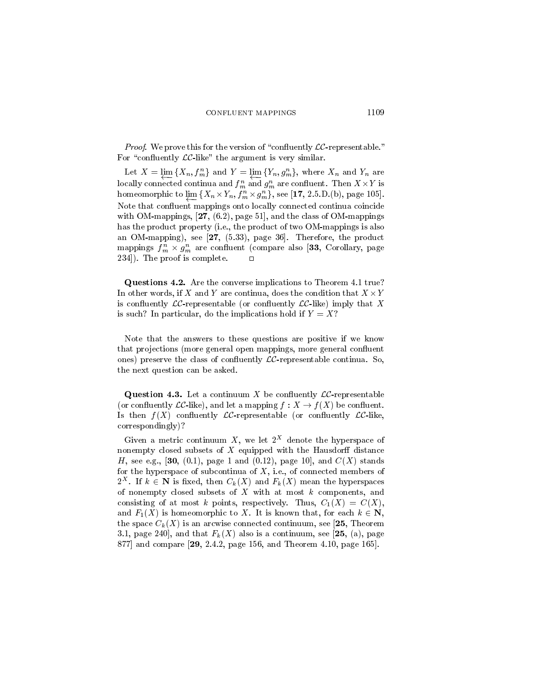*Proof.* We prove this for the version of "confluently  $LC$ -representable." For "confluently  $LC$ -like" the argument is very similar.

Let  $X = \underline{\lim} \{X_n, f_m^n\}$  and  $Y = \underline{\lim} \{Y_n, g_m^n\}$ , where  $X_n$  and  $Y_n$  are locally connected continua and  $f_m^n$  and  $g_m^n$  are confluent. Then  $X \times Y$  is homeomorphic to  $\varprojlim \{ X_n \times Y_n, f_m^n \times g_m^n \}$ , see [17, 2.5.D.(b), page 105]. Note that confluent mappings onto locally connected continua coincide with OM-mappings,  $[27, (6.2),$  page 51, and the class of OM-mappings has the product property (i.e., the product of two OM-mappings is also an OM-mapping), see  $[27, (5.33),$  page 36. Therefore, the product mappings  $f_m^n \times g_m^n$  are confluent (compare also [33, Corollary, page 234]). The proof is complete.  $\Box$ 

Questions 4.2. Are the converse implications to Theorem 4.1 true? In other words, if X and Y are continua, does the condition that  $X \times Y$ is confluently  $LC$ -representable (or confluently  $LC$ -like) imply that X is such? In particular, do the implications hold if  $Y = X$ ?

Note that the answers to these questions are positive if we know that projections (more general open mappings, more general confluent ones) preserve the class of confluently  $LC$ -representable continua. So, the next question can be asked.

**Question 4.3.** Let a continuum X be confluently  $LC$ -representable (or confluently  $LC$ -like), and let a mapping  $f: X \to f(X)$  be confluent. Is then  $f(X)$  confluently  $LC$ -representable (or confluently  $LC$ -like,  $correspondingly$ ?

Given a metric continuum X, we let  $2^X$  denote the hyperspace of nonempty closed subsets of  $X$  equipped with the Hausdorff distance H, see e.g., [30, (0.1), page 1 and (0.12), page 10], and  $C(X)$  stands for the hyperspace of subcontinua of  $X$ , i.e., of connected members of  $2^X$ . If  $k \in \mathbb{N}$  is fixed, then  $C_k(X)$  and  $F_k(X)$  mean the hyperspaces of nonempty closed subsets of  $X$  with at most  $k$  components, and consisting of at most k points, respectively. Thus,  $C_1(X) = C(X)$ , and  $F_1(X)$  is homeomorphic to X. It is known that, for each  $k \in \mathbb{N}$ , the space  $C_k(X)$  is an arcwise connected continuum, see [25, Theorem 3.1, page 240, and that  $F_k(X)$  also is a continuum, see [25, (a), page 877 and compare [29, 2.4.2, page 156, and Theorem 4.10, page 165].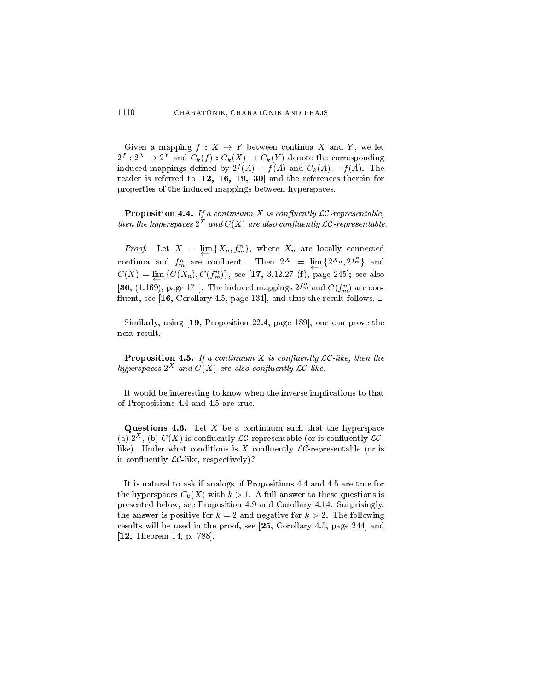Given a mapping  $f: X \to Y$  between continua X and Y, we let  $2^f: 2^X \to 2^Y$  and  $C_k(f): C_k(X) \to C_k(Y)$  denote the corresponding induced mappings defined by  $2^f(A) = f(A)$  and  $C_k(A) = f(A)$ . The reader is referred to [12, 16, 19, 30] and the references therein for properties of the induced mappings between hyperspaces.

**Proposition 4.4.** If a continuum X is confluently  $LC$ -representable, then the hyperspaces  $2^X$  and  $C(X)$  are also confluently  $LC$ -representable.

*Proof.* Let  $X = \varprojlim \{X_n, f_m^n\}$ , where  $X_n$  are locally connected continua and  $f_m^n$  are confluent. Then  $2^X = \varprojlim \{ 2^{X_n}, 2^{f_m^n} \}$  and  $C(X) = \varprojlim \{ C(X_n), C(f_m^n) \}$ , see [17, 3.12.27 (f), page 245]; see also [30, (1.169), page 171]. The induced mappings  $2^{f_m^n}$  and  $C(f_m^n)$  are confluent, see [16, Corollary 4.5, page 134], and thus the result follows.  $\Box$ 

Similarly, using [19, Proposition 22.4, page 189], one can prove the next result.

**Proposition 4.5.** If a continuum X is confluently  $LC$ -like, then the hyperspaces  $2^X$  and  $C(X)$  are also confluently  $LC$ -like.

It would be interesting to know when the inverse implications to that of Propositions 4.4 and 4.5 are true.

**Questions 4.6.** Let  $X$  be a continuum such that the hyperspace (a)  $2^X$ , (b)  $C(X)$  is confluently  $LC$ -representable (or is confluently  $LC$ like). Under what conditions is X confluently  $LC$ -representable (or is it confluently  $\mathcal{LC}$ -like, respectively)?

It is natural to ask if analogs of Propositions 4.4 and 4.5 are true for the hyperspaces  $C_k(X)$  with  $k > 1$ . A full answer to these questions is presented below, see Proposition 4.9 and Corollary 4.14. Surprisingly, the answer is positive for  $k = 2$  and negative for  $k > 2$ . The following results will be used in the proof, see  $[25, Corollary 4.5, page 244]$  and [12, Theorem 14, p. 788].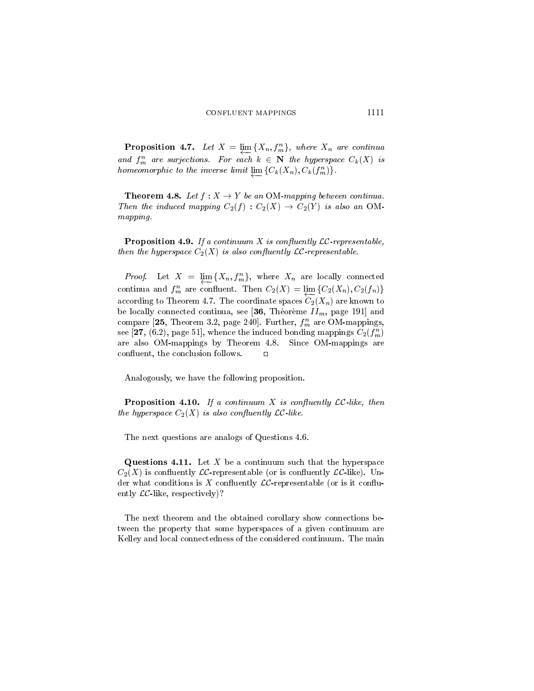**Proposition 4.7.** Let  $X = \underline{\lim} \{X_n, f_m^n\}$ , where  $X_n$  are continual and  $f_m^n$  are surjections. For each  $k \in \mathbb{N}$  the hyperspace  $C_k(X)$  is homeomorphic to the inverse limit  $\varprojlim \{ C_k(X_n), C_k(f_m^n) \}.$ 

**Theorem 4.8.** Let  $f: X \to Y$  be an OM-mapping between continua. Then the induced mapping  $C_2(f) : C_2(X) \to C_2(Y)$  is also an OM $mapping.$ 

**Proposition 4.9.** If a continuum X is confluently  $LC$ -representable. then the hyperspace  $C_2(X)$  is also confluently  $LC$ -representable.

*Proof.* Let  $X = \underline{\lim} \{X_n, f_m^n\}$ , where  $X_n$  are locally connected continua and  $f_m^n$  are confluent. Then  $C_2(X) = \lim \{C_2(X_n), C_2(f_n)\}\$ according to Theorem 4.7. The coordinate spaces  $C_2(X_n)$  are known to be locally connected continua, see [36, Théorème  $II_m$ , page 191] and compare [25, Theorem 3.2, page 240]. Further,  $f_m^n$  are OM-mappings, see [27, (6.2), page 51], whence the induced bonding mappings  $C_2(f_m^n)$ are also OM-mappings by Theorem 4.8. Since OM-mappings are confluent, the conclusion follows.  $\Box$ 

Analogously, we have the following proposition.

**Proposition 4.10.** If a continuum X is confluently  $LC$ -like, then the hyperspace  $C_2(X)$  is also confluently  $LC$ -like.

The next questions are analogs of Questions 4.6.

**Questions 4.11.** Let X be a continuum such that the hyperspace  $C_2(X)$  is confluently  $LC$ -representable (or is confluently  $LC$ -like). Under what conditions is X confluently  $LC$ -representable (or is it confluently  $\mathcal{LC}$ -like, respectively)?

The next theorem and the obtained corollary show connections between the property that some hyperspaces of a given continuum are Kelley and local connectedness of the considered continuum. The main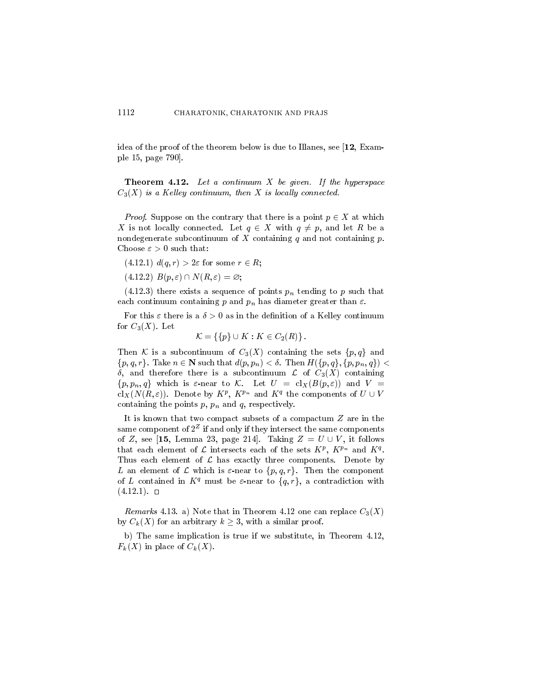idea of the proof of the theorem below is due to Illanes, see [12, Example 15, page 790.

**Theorem 4.12.** Let a continuum  $X$  be given. If the hyperspace  $C_3(X)$  is a Kelley continuum, then X is locally connected.

*Proof.* Suppose on the contrary that there is a point  $p \in X$  at which X is not locally connected. Let  $q \in X$  with  $q \neq p$ , and let R be a nondegenerate subcontinuum of X containing  $q$  and not containing  $p$ . Choose  $\varepsilon > 0$  such that:

- $(4.12.1) d(q,r) > 2\varepsilon$  for some  $r \in R$ ;
- $(4.12.2)$   $B(p, \varepsilon) \cap N(R, \varepsilon) = \varnothing;$

 $(4.12.3)$  there exists a sequence of points  $p_n$  tending to p such that each continuum containing p and  $p_n$  has diameter greater than  $\varepsilon$ .

For this  $\varepsilon$  there is a  $\delta > 0$  as in the definition of a Kelley continuum for  $C_3(X)$ . Let

$$
\mathcal{K} = \{ \{p\} \cup K : K \in C_2(R) \}
$$

Then K is a subcontinuum of  $C_3(X)$  containing the sets  $\{p,q\}$  and  $\{p,q,r\}$ . Take  $n \in \mathbb{N}$  such that  $d(p,p_n) < \delta$ . Then  $H(\{p,q\},\{p,p_n,q\})$  $\delta$ , and therefore there is a subcontinuum  $\mathcal{L}$  of  $C_3(X)$  containing  $\{p, p_n, q\}$  which is  $\varepsilon$ -near to K. Let  $U = \text{cl}_X(B(p, \varepsilon))$  and  $V =$  $\text{cl}_X(N(R,\varepsilon))$ . Denote by  $K^p$ ,  $K^{p_n}$  and  $K^q$  the components of  $U \cup V$ containing the points  $p, p_n$  and  $q$ , respectively.

It is known that two compact subsets of a compactum  $Z$  are in the same component of  $2^Z$  if and only if they intersect the same components of Z, see [15, Lemma 23, page 214]. Taking  $Z = U \cup V$ , it follows that each element of  $\mathcal L$  intersects each of the sets  $K^p$ ,  $K^{p_n}$  and  $K^q$ . Thus each element of  $\mathcal L$  has exactly three components. Denote by L an element of L which is  $\varepsilon$ -near to  $\{p,q,r\}$ . Then the component of L contained in  $K^q$  must be  $\varepsilon$ -near to  $\{q, r\}$ , a contradiction with  $(4.12.1)$ . 0

*Remarks* 4.13. a) Note that in Theorem 4.12 one can replace  $C_3(X)$ by  $C_k(X)$  for an arbitrary  $k \geq 3$ , with a similar proof.

b) The same implication is true if we substitute, in Theorem 4.12,  $F_k(X)$  in place of  $C_k(X)$ .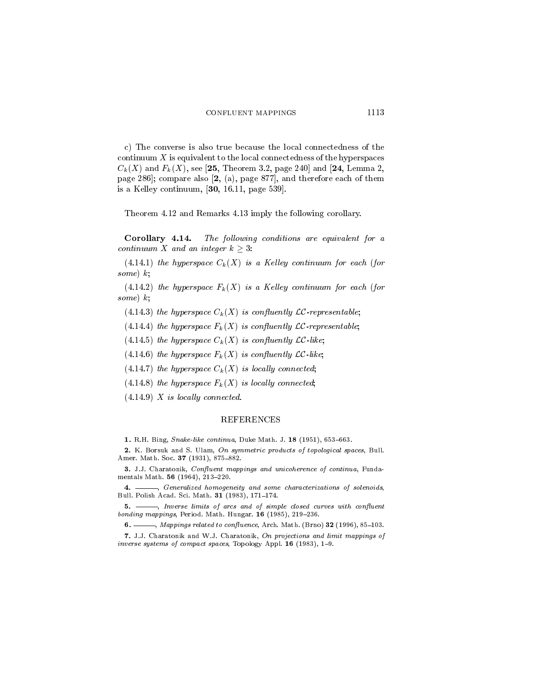c) The converse is also true because the local connectedness of the continuum  $X$  is equivalent to the local connectedness of the hyperspaces  $C_k(X)$  and  $F_k(X)$ , see [25, Theorem 3.2, page 240] and [24, Lemma 2, page 286; compare also  $[2, (a),$  page 877, and therefore each of them is a Kelley continuum,  $[30, 16.11, page 539]$ .

Theorem 4.12 and Remarks 4.13 imply the following corollary.

Corollary 4.14. The following conditions are equivalent for a continuum X and an integer  $k > 3$ :

 $(4.14.1)$  the hyperspace  $C_k(X)$  is a Kelley continuum for each (for some)  $k$ ;

 $(4.14.2)$  the hyperspace  $F_k(X)$  is a Kelley continuum for each (for some)  $k$ ;

(4.14.3) the hyperspace  $C_k(X)$  is confluently  $LC$ -representable;

(4.14.4) the hyperspace  $F_k(X)$  is confluently LC-representable;

(4.14.5) the hyperspace  $C_k(X)$  is confluently  $\mathcal{LC}$ -like;

(4.14.6) the hyperspace  $F_k(X)$  is confluently  $LC$ -like;

- (4.14.7) the hyperspace  $C_k(X)$  is locally connected;
- $(4.14.8)$  the hyperspace  $F_k(X)$  is locally connected;

 $(4.14.9)$  X is locally connected.

## **REFERENCES**

1. R.H. Bing, *Snake-like continua*, Duke Math. J. 18 (1951), 653–663.

2. K. Borsuk and S. Ulam, On symmetric products of topological spaces, Bull. Amer. Math. Soc. 37 (1931), 875-882.

3. J.J. Charatonik, Confluent mappings and unicoherence of continua, Fundamentals Math. 56 (1964), 213-220.

 $4. -$ -, Generalized homogeneity and some characterizations of solenoids, Bull. Polish Acad. Sci. Math. 31 (1983), 171-174.

5. - - hverse limits of arcs and of simple closed curves with confluent bonding mappings, Period. Math. Hungar. 16 (1985), 219-236.

 $-$ , Mappings related to confluence, Arch. Math. (Brno) 32 (1996), 85-103.  $6. -$ 

7. J.J. Charatonik and W.J. Charatonik, On projections and limit mappings of inverse systems of compact spaces, Topology Appl. 16 (1983), 1-9.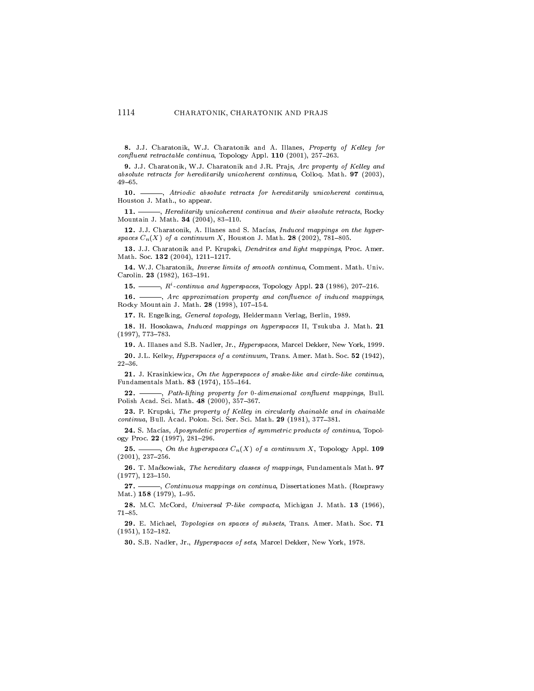8. J.J. Charatonik, W.J. Charatonik and A. Illanes, Property of Kelley for confluent retractable continua, Topology Appl. 110 (2001), 257-263.

9. J.J. Charatonik, W.J. Charatonik and J.R. Prajs, Arc property of Kelley and absolute retracts for hereditarily unicoherent continua, Colloq. Math.  $97$  (2003),  $49 - 65$ .

 $10. -$ -, Atriodic absolute retracts for hereditarily unicoherent continua, Houston J. Math., to appear.

 $11. -$ -, Hereditarily unicoherent continua and their absolute retracts, Rocky Mountain J. Math. 34 (2004), 83-110.

12. J.J. Charatonik, A. Illanes and S. Macías, Induced mappings on the hyperspaces  $C_n(X)$  of a continuum X, Houston J. Math. 28 (2002), 781-805.

13. J.J. Charatonik and P. Krupski, Dendrites and light mappings, Proc. Amer. Math. Soc. 132 (2004), 1211-1217.

14. W.J. Charatonik, *Inverse limits of smooth continua*, Comment. Math. Univ. Carolin. 23 (1982), 163-191. **15.** ——,  $R^i$ -continua and hyperspaces, Topology Appl. **23** (1986), 207–216.<br>**16.** ——, Arc approximation and in the set of the set of the set of the set of the set of the set of the set of the set of the set of the set

 $-$ , Arc approximation property and confluence of induced mappings, Rocky Mountain J. Math. 28 (1998), 107-154.

17. R. Engelking, General topology, Heldermann Verlag, Berlin, 1989.

18. H. Hosokawa, Induced mappings on hyperspaces II, Tsukuba J. Math. 21  $(1997), 773 - 783.$ 

19. A. Illanes and S.B. Nadler, Jr., Hyperspaces, Marcel Dekker, New York, 1999.

20. J.L. Kelley, *Hyperspaces of a continuum*, Trans. Amer. Math. Soc. 52 (1942),  $22 - 36$ .

21. J. Krasinkiewicz, On the hyperspaces of snake-like and circle-like continua, Fundamentals Math. 83 (1974), 155-164.

 $22.$  — -, Path-lifting property for 0-dimensional confluent mappings, Bull. Polish Acad. Sci. Math. 48 (2000), 357-367.

23. P. Krupski, The property of Kelley in circularly chainable and in chainable continua, Bull. Acad. Polon. Sci. Ser. Sci. Math. 29 (1981), 377-381.

24. S. Macías, Aposyndetic properties of symmetric products of continua, Topology Proc. 22 (1997), 281-296.

 $-$ , On the hyperspaces  $C_n(X)$  of a continuum X, Topology Appl. 109  $25. (2001), 237-256.$ 

26. T. Maćkowiak, The hereditary classes of mappings, Fundamentals Math. 97  $(1977), 123 - 150.$ 

 $27. -$ -, Continuous mappings on continua, Dissertationes Math. (Rozprawy Mat.)  $158$  (1979), 1-95.

28. M.C. McCord, Universal P-like compacta, Michigan J. Math. 13 (1966),  $71 - 85.$ 

29. E. Michael, Topologies on spaces of subsets, Trans. Amer. Math. Soc. 71  $(1951), 152-182.$ 

30. S.B. Nadler, Jr., Hyperspaces of sets, Marcel Dekker, New York, 1978.